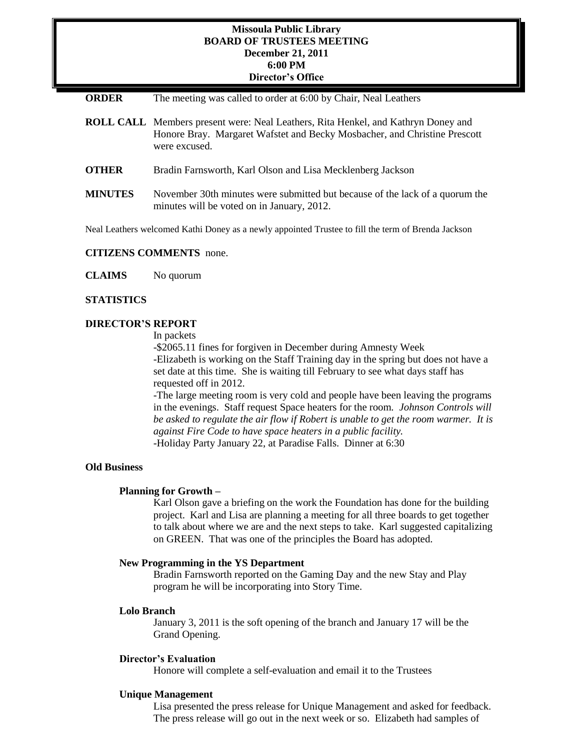# **Missoula Public Library BOARD OF TRUSTEES MEETING December 21, 2011 6:00 PM Director's Office**

# **ORDER** The meeting was called to order at 6:00 by Chair, Neal Leathers

- **ROLL CALL** Members present were: Neal Leathers, Rita Henkel, and Kathryn Doney and Honore Bray. Margaret Wafstet and Becky Mosbacher, and Christine Prescott were excused.
- **OTHER** Bradin Farnsworth, Karl Olson and Lisa Mecklenberg Jackson
- **MINUTES** November 30th minutes were submitted but because of the lack of a quorum the minutes will be voted on in January, 2012.

Neal Leathers welcomed Kathi Doney as a newly appointed Trustee to fill the term of Brenda Jackson

## **CITIZENS COMMENTS** none.

**CLAIMS** No quorum

## **STATISTICS**

# **DIRECTOR'S REPORT**

In packets

-\$2065.11 fines for forgiven in December during Amnesty Week -Elizabeth is working on the Staff Training day in the spring but does not have a set date at this time. She is waiting till February to see what days staff has requested off in 2012.

-The large meeting room is very cold and people have been leaving the programs in the evenings. Staff request Space heaters for the room. *Johnson Controls will be asked to regulate the air flow if Robert is unable to get the room warmer. It is against Fire Code to have space heaters in a public facility.* -Holiday Party January 22, at Paradise Falls. Dinner at 6:30

**Old Business**

### **Planning for Growth –**

Karl Olson gave a briefing on the work the Foundation has done for the building project. Karl and Lisa are planning a meeting for all three boards to get together to talk about where we are and the next steps to take. Karl suggested capitalizing on GREEN. That was one of the principles the Board has adopted.

# **New Programming in the YS Department**

Bradin Farnsworth reported on the Gaming Day and the new Stay and Play program he will be incorporating into Story Time.

### **Lolo Branch**

January 3, 2011 is the soft opening of the branch and January 17 will be the Grand Opening.

#### **Director's Evaluation**

Honore will complete a self-evaluation and email it to the Trustees

### **Unique Management**

Lisa presented the press release for Unique Management and asked for feedback. The press release will go out in the next week or so. Elizabeth had samples of